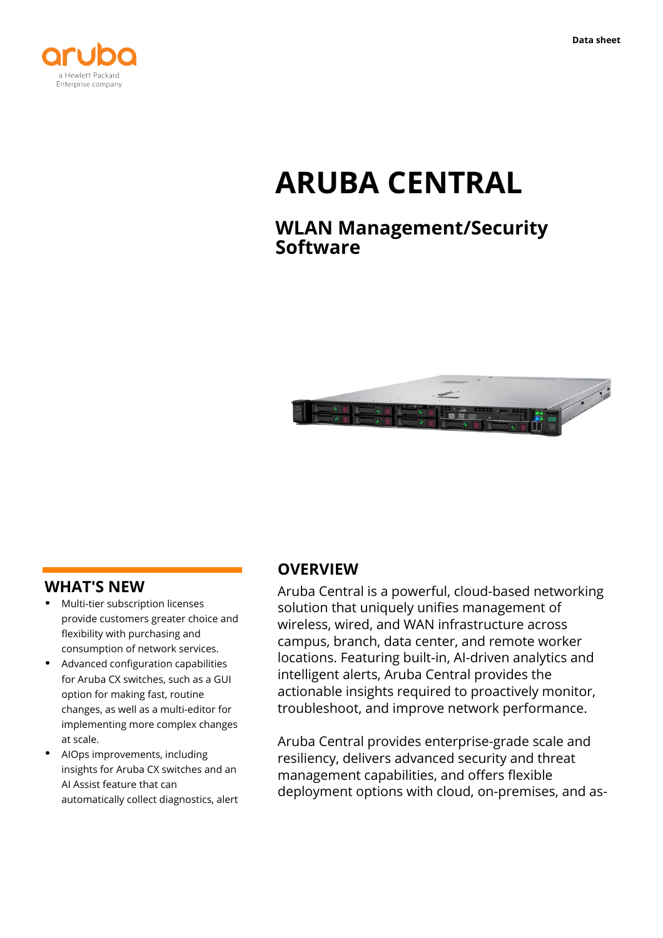

# **ARUBA CENTRAL**

# **WLAN Management/Security Software**



#### **WHAT'S NEW**

- **·** Multi-tier subscription licenses provide customers greater choice and flexibility with purchasing and consumption of network services.
- **·** Advanced configuration capabilities for Aruba CX switches, such as a GUI option for making fast, routine changes, as well as a multi-editor for implementing more complex changes at scale.
- **·** AIOps improvements, including insights for Aruba CX switches and an AI Assist feature that can automatically collect diagnostics, alert

#### **OVERVIEW**

Aruba Central is a powerful, cloud-based networking solution that uniquely unifies management of wireless, wired, and WAN infrastructure across campus, branch, data center, and remote worker locations. Featuring built-in, AI-driven analytics and intelligent alerts, Aruba Central provides the actionable insights required to proactively monitor, troubleshoot, and improve network performance.

Aruba Central provides enterprise-grade scale and resiliency, delivers advanced security and threat management capabilities, and offers flexible deployment options with cloud, on-premises, and as-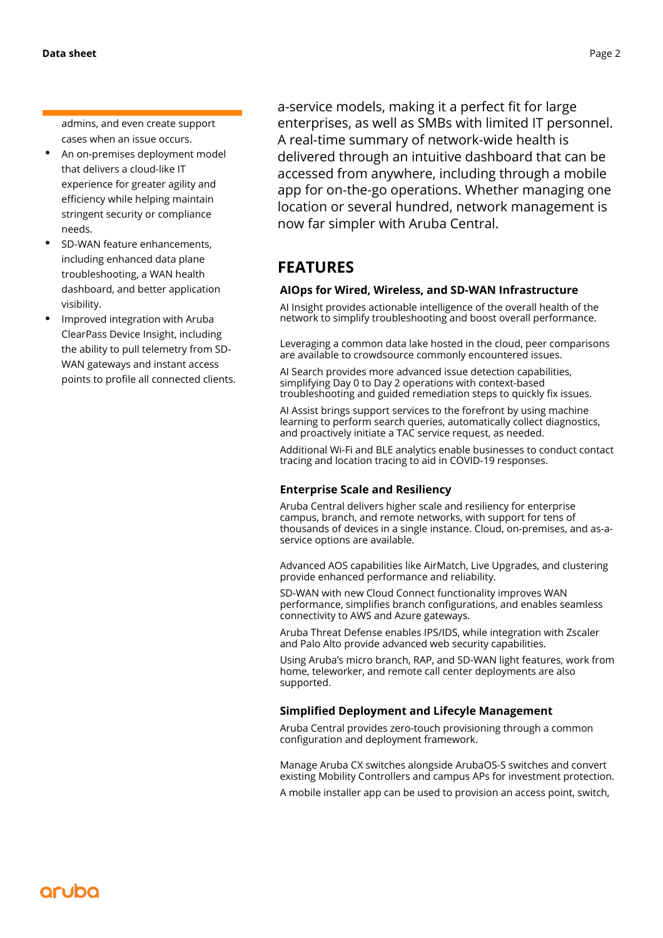admins, and even create support cases when an issue occurs.

- **·** An on-premises deployment model that delivers a cloud-like IT experience for greater agility and efficiency while helping maintain stringent security or compliance needs.
- **·** SD-WAN feature enhancements, including enhanced data plane troubleshooting, a WAN health dashboard, and better application visibility.
- **·** Improved integration with Aruba ClearPass Device Insight, including the ability to pull telemetry from SD-WAN gateways and instant access points to profile all connected clients.

a-service models, making it a perfect fit for large enterprises, as well as SMBs with limited IT personnel. A real-time summary of network-wide health is delivered through an intuitive dashboard that can be accessed from anywhere, including through a mobile app for on-the-go operations. Whether managing one location or several hundred, network management is now far simpler with Aruba Central.

## **FEATURES**

#### **AIOps for Wired, Wireless, and SD-WAN Infrastructure**

AI Insight provides actionable intelligence of the overall health of the network to simplify troubleshooting and boost overall performance.

Leveraging a common data lake hosted in the cloud, peer comparisons are available to crowdsource commonly encountered issues.

AI Search provides more advanced issue detection capabilities, simplifying Day 0 to Day 2 operations with context-based troubleshooting and guided remediation steps to quickly fix issues.

AI Assist brings support services to the forefront by using machine learning to perform search queries, automatically collect diagnostics, and proactively initiate a TAC service request, as needed.

Additional Wi-Fi and BLE analytics enable businesses to conduct contact tracing and location tracing to aid in COVID-19 responses.

#### **Enterprise Scale and Resiliency**

Aruba Central delivers higher scale and resiliency for enterprise campus, branch, and remote networks, with support for tens of thousands of devices in a single instance. Cloud, on-premises, and as-aservice options are available.

Advanced AOS capabilities like AirMatch, Live Upgrades, and clustering provide enhanced performance and reliability.

SD-WAN with new Cloud Connect functionality improves WAN performance, simplifies branch configurations, and enables seamless connectivity to AWS and Azure gateways.

Aruba Threat Defense enables IPS/IDS, while integration with Zscaler and Palo Alto provide advanced web security capabilities.

Using Aruba's micro branch, RAP, and SD-WAN light features, work from home, teleworker, and remote call center deployments are also supported.

#### **Simplified Deployment and Lifecyle Management**

Aruba Central provides zero-touch provisioning through a common configuration and deployment framework.

Manage Aruba CX switches alongside ArubaOS-S switches and convert existing Mobility Controllers and campus APs for investment protection.

A mobile installer app can be used to provision an access point, switch,

## aruba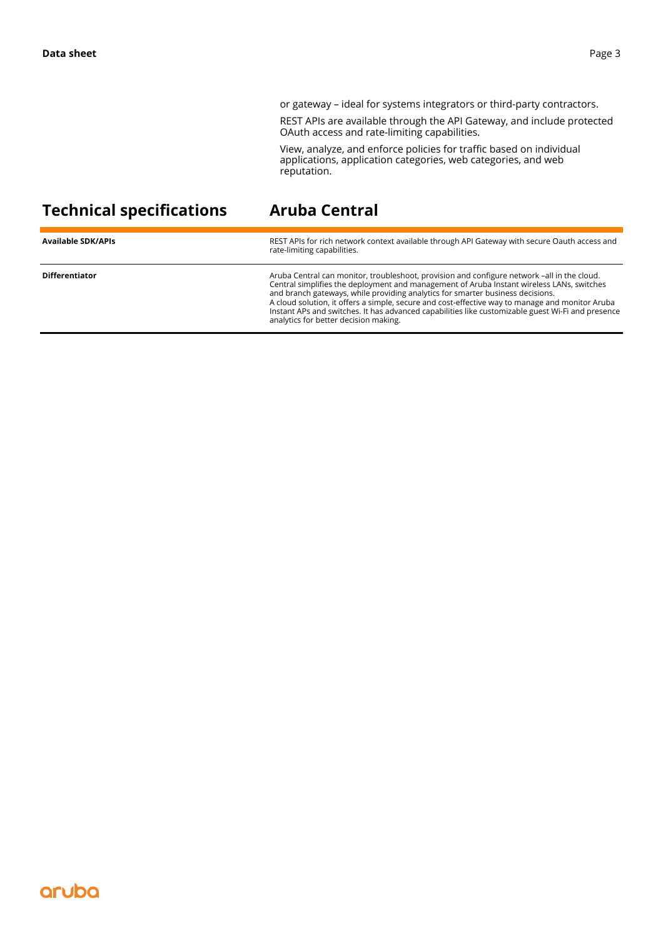or gateway – ideal for systems integrators or third-party contractors.

REST APIs are available through the API Gateway, and include protected OAuth access and rate-limiting capabilities.

View, analyze, and enforce policies for traffic based on individual applications, application categories, web categories, and web reputation.

# **Technical specifications Aruba Central**

| <b>Available SDK/APIs</b> | REST APIs for rich network context available through API Gateway with secure Oauth access and<br>rate-limiting capabilities.                                                                                                                                                                                                                                                                                                                                                                                                |
|---------------------------|-----------------------------------------------------------------------------------------------------------------------------------------------------------------------------------------------------------------------------------------------------------------------------------------------------------------------------------------------------------------------------------------------------------------------------------------------------------------------------------------------------------------------------|
| <b>Differentiator</b>     | Aruba Central can monitor, troubleshoot, provision and configure network -all in the cloud.<br>Central simplifies the deployment and management of Aruba Instant wireless LANs, switches<br>and branch gateways, while providing analytics for smarter business decisions.<br>A cloud solution, it offers a simple, secure and cost-effective way to manage and monitor Aruba<br>Instant APs and switches. It has advanced capabilities like customizable guest Wi-Fi and presence<br>analytics for better decision making. |